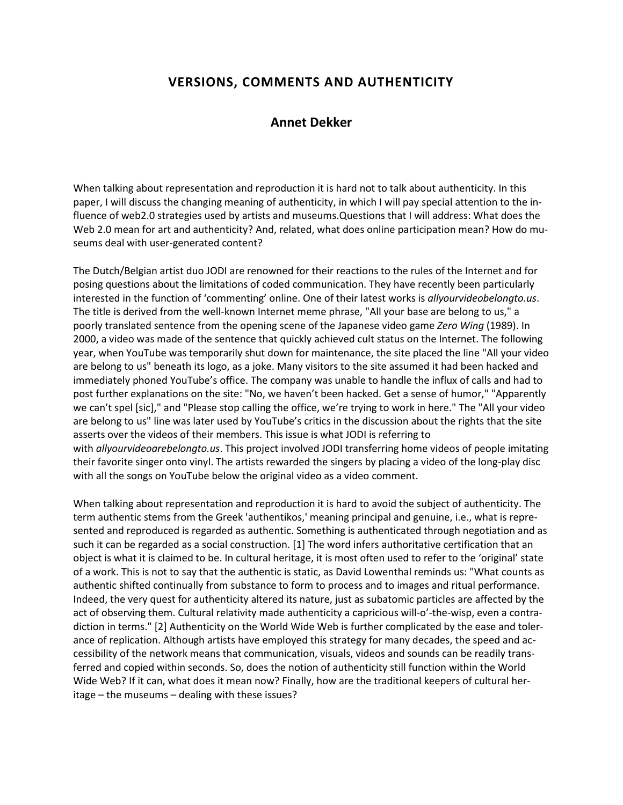# **VERSIONS, COMMENTS AND AUTHENTICITY**

# **Annet Dekker**

When talking about representation and reproduction it is hard not to talk about authenticity. In this paper, I will discuss the changing meaning of authenticity, in which I will pay special attention to the influence of web2.0 strategies used by artists and museums.Questions that I will address: What does the Web 2.0 mean for art and authenticity? And, related, what does online participation mean? How do museums deal with user-generated content?

The Dutch/Belgian artist duo JODI are renowned for their reactions to the rules of the Internet and for posing questions about the limitations of coded communication. They have recently been particularly interested in the function of 'commenting' online. One of their latest works is *allyourvideobelongto.us*. The title is derived from the well-known Internet meme phrase, "All your base are belong to us," a poorly translated sentence from the opening scene of the Japanese video game *Zero Wing* (1989). In 2000, a video was made of the sentence that quickly achieved cult status on the Internet. The following year, when YouTube was temporarily shut down for maintenance, the site placed the line "All your video are belong to us" beneath its logo, as a joke. Many visitors to the site assumed it had been hacked and immediately phoned YouTube's office. The company was unable to handle the influx of calls and had to post further explanations on the site: "No, we haven't been hacked. Get a sense of humor," "Apparently we can't spel [sic]," and "Please stop calling the office, we're trying to work in here." The "All your video are belong to us" line was later used by YouTube's critics in the discussion about the rights that the site asserts over the videos of their members. This issue is what JODI is referring to with *allyourvideoarebelongto.us*. This project involved JODI transferring home videos of people imitating their favorite singer onto vinyl. The artists rewarded the singers by placing a video of the long-play disc with all the songs on YouTube below the original video as a video comment.

When talking about representation and reproduction it is hard to avoid the subject of authenticity. The term authentic stems from the Greek 'authentikos,' meaning principal and genuine, i.e., what is represented and reproduced is regarded as authentic. Something is authenticated through negotiation and as such it can be regarded as a social construction. [1] The word infers authoritative certification that an object is what it is claimed to be. In cultural heritage, it is most often used to refer to the 'original' state of a work. This is not to say that the authentic is static, as David Lowenthal reminds us: "What counts as authentic shifted continually from substance to form to process and to images and ritual performance. Indeed, the very quest for authenticity altered its nature, just as subatomic particles are affected by the act of observing them. Cultural relativity made authenticity a capricious will-o'-the-wisp, even a contradiction in terms." [2] Authenticity on the World Wide Web is further complicated by the ease and tolerance of replication. Although artists have employed this strategy for many decades, the speed and accessibility of the network means that communication, visuals, videos and sounds can be readily transferred and copied within seconds. So, does the notion of authenticity still function within the World Wide Web? If it can, what does it mean now? Finally, how are the traditional keepers of cultural heritage – the museums – dealing with these issues?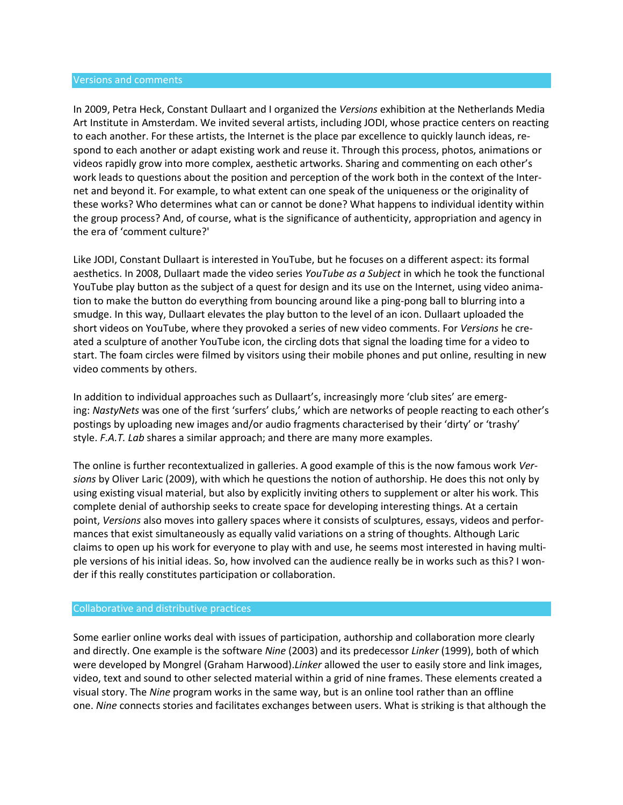#### Versions and comments

In 2009, Petra Heck, Constant Dullaart and I organized the *Versions* exhibition at the Netherlands Media Art Institute in Amsterdam. We invited several artists, including JODI, whose practice centers on reacting to each another. For these artists, the Internet is the place par excellence to quickly launch ideas, respond to each another or adapt existing work and reuse it. Through this process, photos, animations or videos rapidly grow into more complex, aesthetic artworks. Sharing and commenting on each other's work leads to questions about the position and perception of the work both in the context of the Internet and beyond it. For example, to what extent can one speak of the uniqueness or the originality of these works? Who determines what can or cannot be done? What happens to individual identity within the group process? And, of course, what is the significance of authenticity, appropriation and agency in the era of 'comment culture?'

Like JODI, Constant Dullaart is interested in YouTube, but he focuses on a different aspect: its formal aesthetics. In 2008, Dullaart made the video series *YouTube as a Subject* in which he took the functional YouTube play button as the subject of a quest for design and its use on the Internet, using video animation to make the button do everything from bouncing around like a ping-pong ball to blurring into a smudge. In this way, Dullaart elevates the play button to the level of an icon. Dullaart uploaded the short videos on YouTube, where they provoked a series of new video comments. For *Versions* he created a sculpture of another YouTube icon, the circling dots that signal the loading time for a video to start. The foam circles were filmed by visitors using their mobile phones and put online, resulting in new video comments by others.

In addition to individual approaches such as Dullaart's, increasingly more 'club sites' are emerging: *NastyNets* was one of the first 'surfers' clubs,' which are networks of people reacting to each other's postings by uploading new images and/or audio fragments characterised by their 'dirty' or 'trashy' style. *F.A.T. Lab* shares a similar approach; and there are many more examples.

The online is further recontextualized in galleries. A good example of this is the now famous work *Versions* by Oliver Laric (2009), with which he questions the notion of authorship. He does this not only by using existing visual material, but also by explicitly inviting others to supplement or alter his work. This complete denial of authorship seeks to create space for developing interesting things. At a certain point, *Versions* also moves into gallery spaces where it consists of sculptures, essays, videos and performances that exist simultaneously as equally valid variations on a string of thoughts. Although Laric claims to open up his work for everyone to play with and use, he seems most interested in having multiple versions of his initial ideas. So, how involved can the audience really be in works such as this? I wonder if this really constitutes participation or collaboration.

#### Collaborative and distributive practices

Some earlier online works deal with issues of participation, authorship and collaboration more clearly and directly. One example is the software *Nine* (2003) and its predecessor *Linker* (1999), both of which were developed by Mongrel (Graham Harwood).*Linker* allowed the user to easily store and link images, video, text and sound to other selected material within a grid of nine frames. These elements created a visual story. The *Nine* program works in the same way, but is an online tool rather than an offline one. *Nine* connects stories and facilitates exchanges between users. What is striking is that although the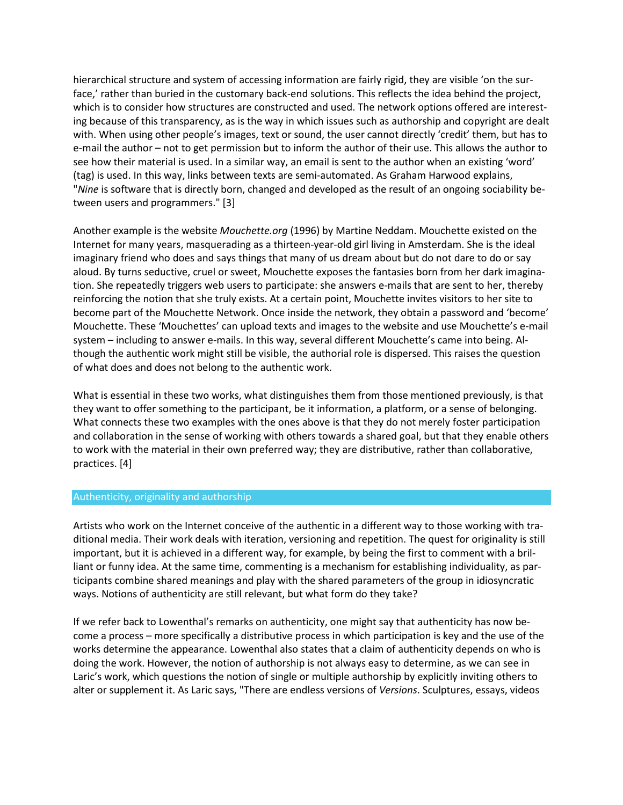hierarchical structure and system of accessing information are fairly rigid, they are visible 'on the surface,' rather than buried in the customary back-end solutions. This reflects the idea behind the project, which is to consider how structures are constructed and used. The network options offered are interesting because of this transparency, as is the way in which issues such as authorship and copyright are dealt with. When using other people's images, text or sound, the user cannot directly 'credit' them, but has to e-mail the author – not to get permission but to inform the author of their use. This allows the author to see how their material is used. In a similar way, an email is sent to the author when an existing 'word' (tag) is used. In this way, links between texts are semi-automated. As Graham Harwood explains, "*Nine* is software that is directly born, changed and developed as the result of an ongoing sociability between users and programmers." [3]

Another example is the website *Mouchette.org* (1996) by Martine Neddam. Mouchette existed on the Internet for many years, masquerading as a thirteen-year-old girl living in Amsterdam. She is the ideal imaginary friend who does and says things that many of us dream about but do not dare to do or say aloud. By turns seductive, cruel or sweet, Mouchette exposes the fantasies born from her dark imagination. She repeatedly triggers web users to participate: she answers e-mails that are sent to her, thereby reinforcing the notion that she truly exists. At a certain point, Mouchette invites visitors to her site to become part of the Mouchette Network. Once inside the network, they obtain a password and 'become' Mouchette. These 'Mouchettes' can upload texts and images to the website and use Mouchette's e-mail system – including to answer e-mails. In this way, several different Mouchette's came into being. Although the authentic work might still be visible, the authorial role is dispersed. This raises the question of what does and does not belong to the authentic work.

What is essential in these two works, what distinguishes them from those mentioned previously, is that they want to offer something to the participant, be it information, a platform, or a sense of belonging. What connects these two examples with the ones above is that they do not merely foster participation and collaboration in the sense of working with others towards a shared goal, but that they enable others to work with the material in their own preferred way; they are distributive, rather than collaborative, practices. [4]

### Authenticity, originality and authorship

Artists who work on the Internet conceive of the authentic in a different way to those working with traditional media. Their work deals with iteration, versioning and repetition. The quest for originality is still important, but it is achieved in a different way, for example, by being the first to comment with a brilliant or funny idea. At the same time, commenting is a mechanism for establishing individuality, as participants combine shared meanings and play with the shared parameters of the group in idiosyncratic ways. Notions of authenticity are still relevant, but what form do they take?

If we refer back to Lowenthal's remarks on authenticity, one might say that authenticity has now become a process – more specifically a distributive process in which participation is key and the use of the works determine the appearance. Lowenthal also states that a claim of authenticity depends on who is doing the work. However, the notion of authorship is not always easy to determine, as we can see in Laric's work, which questions the notion of single or multiple authorship by explicitly inviting others to alter or supplement it. As Laric says, "There are endless versions of *Versions*. Sculptures, essays, videos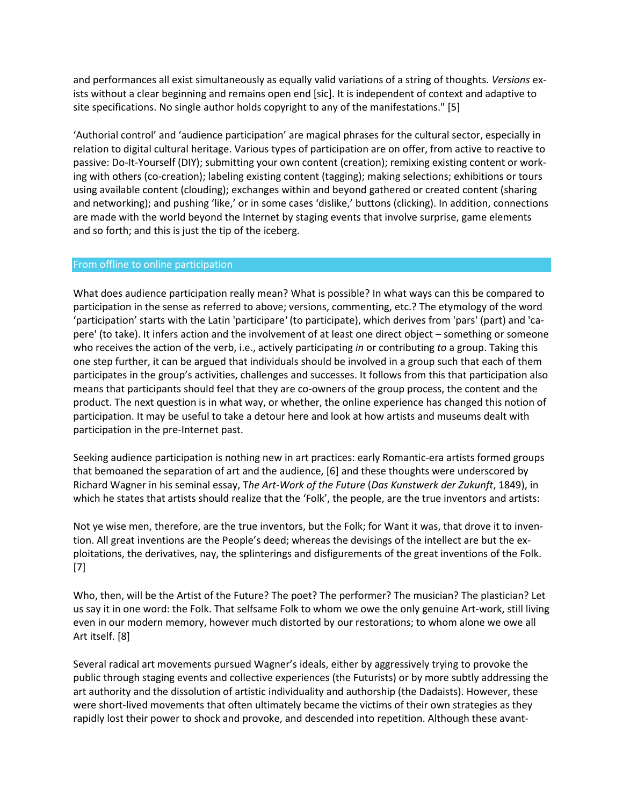and performances all exist simultaneously as equally valid variations of a string of thoughts. *Versions* exists without a clear beginning and remains open end [sic]. It is independent of context and adaptive to site specifications. No single author holds copyright to any of the manifestations." [5]

'Authorial control' and 'audience participation' are magical phrases for the cultural sector, especially in relation to digital cultural heritage. Various types of participation are on offer, from active to reactive to passive: Do-It-Yourself (DIY); submitting your own content (creation); remixing existing content or working with others (co-creation); labeling existing content (tagging); making selections; exhibitions or tours using available content (clouding); exchanges within and beyond gathered or created content (sharing and networking); and pushing 'like,' or in some cases 'dislike,' buttons (clicking). In addition, connections are made with the world beyond the Internet by staging events that involve surprise, game elements and so forth; and this is just the tip of the iceberg.

### From offline to online participation

What does audience participation really mean? What is possible? In what ways can this be compared to participation in the sense as referred to above; versions, commenting, etc.? The etymology of the word 'participation' starts with the Latin 'participare*'* (to participate), which derives from 'pars' (part) and 'capere' (to take). It infers action and the involvement of at least one direct object – something or someone who receives the action of the verb, i.e., actively participating *in* or contributing *to* a group. Taking this one step further, it can be argued that individuals should be involved in a group such that each of them participates in the group's activities, challenges and successes. It follows from this that participation also means that participants should feel that they are co-owners of the group process, the content and the product. The next question is in what way, or whether, the online experience has changed this notion of participation. It may be useful to take a detour here and look at how artists and museums dealt with participation in the pre-Internet past.

Seeking audience participation is nothing new in art practices: early Romantic-era artists formed groups that bemoaned the separation of art and the audience, [6] and these thoughts were underscored by Richard Wagner in his seminal essay, T*he Art-Work of the Future* (*Das Kunstwerk der Zukunft*, 1849), in which he states that artists should realize that the 'Folk', the people, are the true inventors and artists:

Not ye wise men, therefore, are the true inventors, but the Folk; for Want it was, that drove it to invention. All great inventions are the People's deed; whereas the devisings of the intellect are but the exploitations, the derivatives, nay, the splinterings and disfigurements of the great inventions of the Folk. [7]

Who, then, will be the Artist of the Future? The poet? The performer? The musician? The plastician? Let us say it in one word: the Folk. That selfsame Folk to whom we owe the only genuine Art-work, still living even in our modern memory, however much distorted by our restorations; to whom alone we owe all Art itself. [8]

Several radical art movements pursued Wagner's ideals, either by aggressively trying to provoke the public through staging events and collective experiences (the Futurists) or by more subtly addressing the art authority and the dissolution of artistic individuality and authorship (the Dadaists). However, these were short-lived movements that often ultimately became the victims of their own strategies as they rapidly lost their power to shock and provoke, and descended into repetition. Although these avant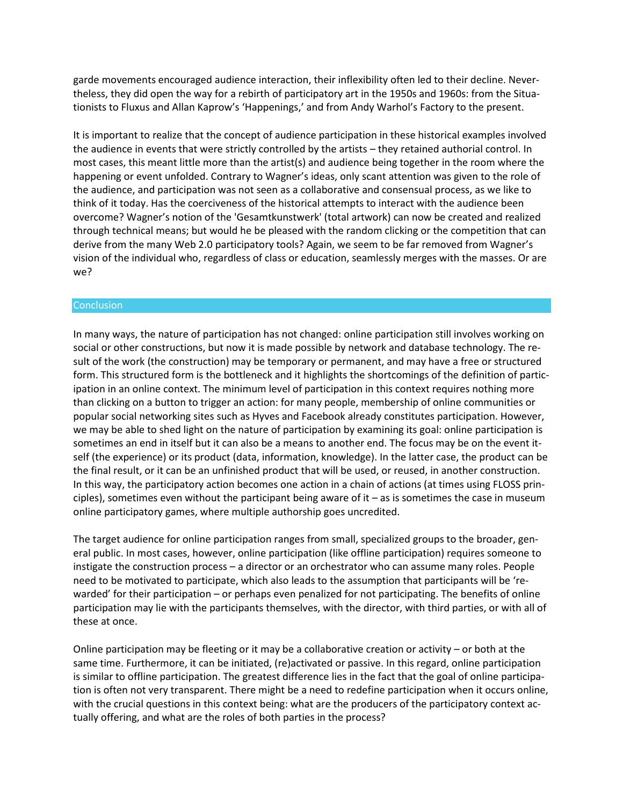garde movements encouraged audience interaction, their inflexibility often led to their decline. Nevertheless, they did open the way for a rebirth of participatory art in the 1950s and 1960s: from the Situationists to Fluxus and Allan Kaprow's 'Happenings,' and from Andy Warhol's Factory to the present.

It is important to realize that the concept of audience participation in these historical examples involved the audience in events that were strictly controlled by the artists – they retained authorial control. In most cases, this meant little more than the artist(s) and audience being together in the room where the happening or event unfolded. Contrary to Wagner's ideas, only scant attention was given to the role of the audience, and participation was not seen as a collaborative and consensual process, as we like to think of it today. Has the coerciveness of the historical attempts to interact with the audience been overcome? Wagner's notion of the 'Gesamtkunstwerk' (total artwork) can now be created and realized through technical means; but would he be pleased with the random clicking or the competition that can derive from the many Web 2.0 participatory tools? Again, we seem to be far removed from Wagner's vision of the individual who, regardless of class or education, seamlessly merges with the masses. Or are we?

### **Conclusion**

In many ways, the nature of participation has not changed: online participation still involves working on social or other constructions, but now it is made possible by network and database technology. The result of the work (the construction) may be temporary or permanent, and may have a free or structured form. This structured form is the bottleneck and it highlights the shortcomings of the definition of participation in an online context. The minimum level of participation in this context requires nothing more than clicking on a button to trigger an action: for many people, membership of online communities or popular social networking sites such as Hyves and Facebook already constitutes participation. However, we may be able to shed light on the nature of participation by examining its goal: online participation is sometimes an end in itself but it can also be a means to another end. The focus may be on the event itself (the experience) or its product (data, information, knowledge). In the latter case, the product can be the final result, or it can be an unfinished product that will be used, or reused, in another construction. In this way, the participatory action becomes one action in a chain of actions (at times using FLOSS principles), sometimes even without the participant being aware of it  $-$  as is sometimes the case in museum online participatory games, where multiple authorship goes uncredited.

The target audience for online participation ranges from small, specialized groups to the broader, general public. In most cases, however, online participation (like offline participation) requires someone to instigate the construction process – a director or an orchestrator who can assume many roles. People need to be motivated to participate, which also leads to the assumption that participants will be 'rewarded' for their participation – or perhaps even penalized for not participating. The benefits of online participation may lie with the participants themselves, with the director, with third parties, or with all of these at once.

Online participation may be fleeting or it may be a collaborative creation or activity – or both at the same time. Furthermore, it can be initiated, (re)activated or passive. In this regard, online participation is similar to offline participation. The greatest difference lies in the fact that the goal of online participation is often not very transparent. There might be a need to redefine participation when it occurs online, with the crucial questions in this context being: what are the producers of the participatory context actually offering, and what are the roles of both parties in the process?